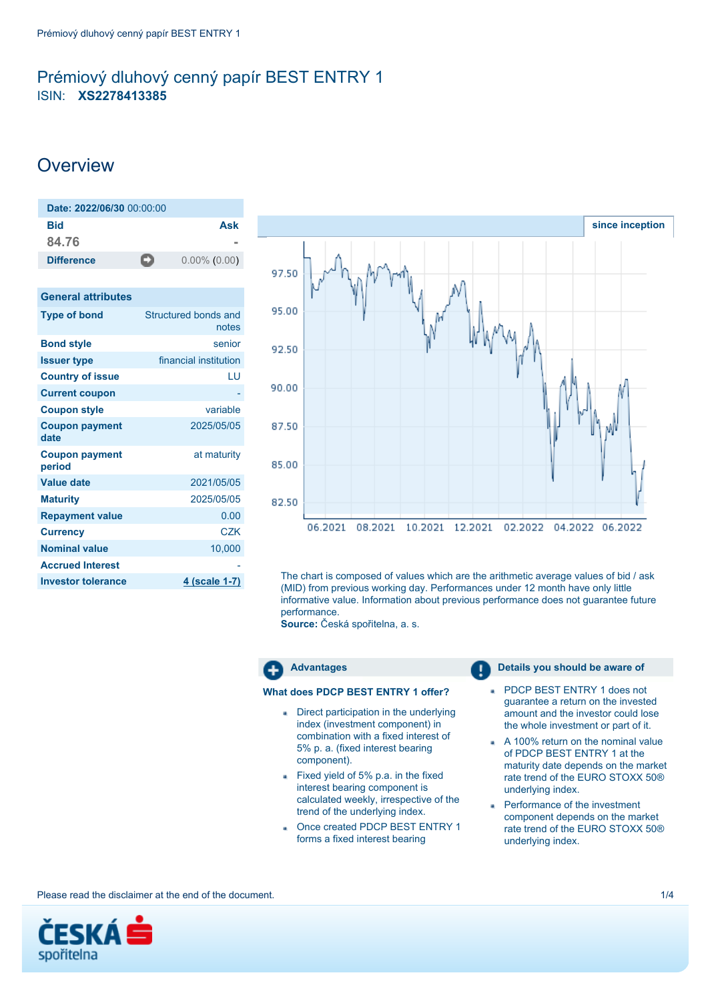# <span id="page-0-0"></span>Prémiový dluhový cenný papír BEST ENTRY 1 ISIN: **XS2278413385**

# **Overview**

| Date: 2022/06/30 00:00:00 |    |                      |
|---------------------------|----|----------------------|
| Bid                       |    | Ask                  |
| 84.76                     |    |                      |
| <b>Difference</b>         | -2 | $0.00\%$ (0.00)      |
|                           |    |                      |
| <b>General attributes</b> |    |                      |
| <b>Type of bond</b>       |    | Structured bonds and |

|                                 | notes                 |
|---------------------------------|-----------------------|
| <b>Bond style</b>               | senior                |
| <b>Issuer type</b>              | financial institution |
| <b>Country of issue</b>         | LU                    |
| <b>Current coupon</b>           |                       |
| <b>Coupon style</b>             | variable              |
| <b>Coupon payment</b><br>date   | 2025/05/05            |
| <b>Coupon payment</b><br>period | at maturity           |
| <b>Value date</b>               | 2021/05/05            |
| <b>Maturity</b>                 | 2025/05/05            |
| <b>Repayment value</b>          | 0.00                  |
| <b>Currency</b>                 | <b>CZK</b>            |
| <b>Nominal value</b>            | 10,000                |
| <b>Accrued Interest</b>         |                       |
| <b>Investor tolerance</b>       | <u>4 (scale 1-7)</u>  |



The chart is composed of values which are the arithmetic average values of bid / ask (MID) from previous working day. Performances under 12 month have only little informative value. Information about previous performance does not guarantee future performance.

**Source:** Česká spořitelna, a. s.



# **What does PDCP BEST ENTRY 1 offer?**

- Direct participation in the underlying index (investment component) in combination with a fixed interest of 5% p. a. (fixed interest bearing component).
- Fixed yield of 5% p.a. in the fixed interest bearing component is calculated weekly, irrespective of the trend of the underlying index.
- Once created PDCP BEST ENTRY 1 forms a fixed interest bearing

- PDCP BEST ENTRY 1 does not a. guarantee a return on the invested amount and the investor could lose the whole investment or part of it.
- A 100% return on the nominal value of PDCP BEST ENTRY 1 at the maturity date depends on the market rate trend of the EURO STOXX 50® underlying index.
- **Performance of the investment** component depends on the market rate trend of the EURO STOXX 50® underlying index.

Please read the disclaimer at the end of the document. 1/4

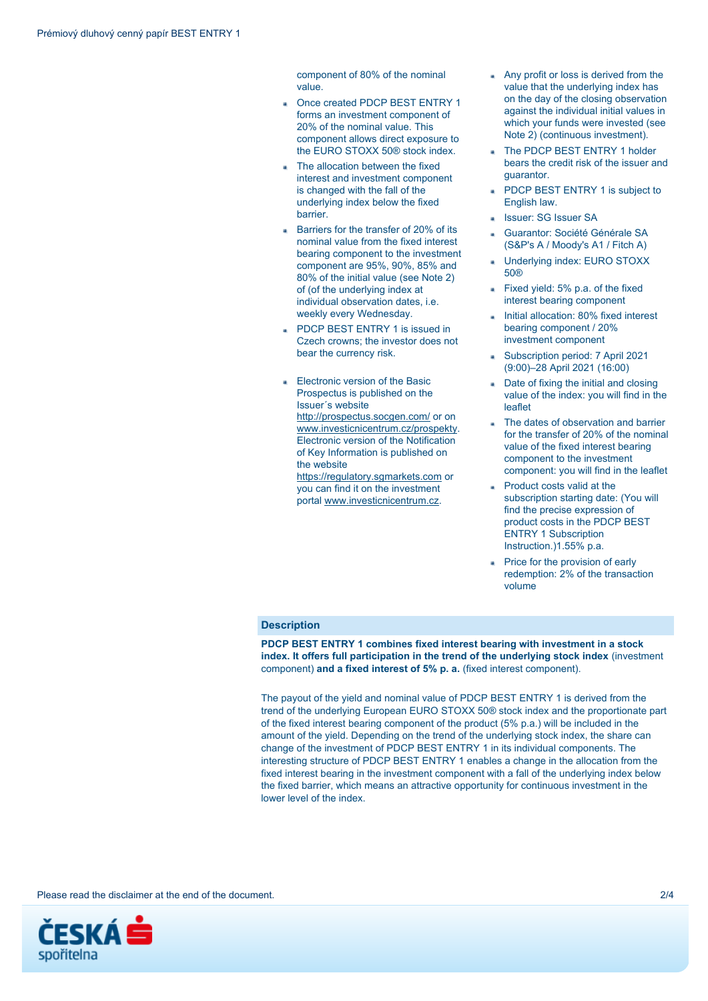component of 80% of the nominal value.

- Once created PDCP BEST ENTRY 1 forms an investment component of 20% of the nominal value. This component allows direct exposure to the EURO STOXX 50® stock index.
- The allocation between the fixed interest and investment component is changed with the fall of the underlying index below the fixed barrier.
- Barriers for the transfer of 20% of its nominal value from the fixed interest bearing component to the investment component are 95%, 90%, 85% and 80% of the initial value (see Note 2) of (of the underlying index at individual observation dates, i.e. weekly every Wednesday.
- PDCP BEST ENTRY 1 is issued in Czech crowns; the investor does not bear the currency risk.
- Electronic version of the Basic Prospectus is published on the Issuer´s website <http://prospectus.socgen.com/> or on [www.investicnicentrum.cz/prospekty.](http://www.investicnicentrum.cz/prospekty) Electronic version of the Notification of Key Information is published on the website
	- [https://regulatory.sgmarkets.com](https://regulatory.sgmarkets.com/) or you can find it on the investment portal [www.investicnicentrum.cz](http://www.investicnicentrum.cz/).
- Any profit or loss is derived from the value that the underlying index has on the day of the closing observation against the individual initial values in which your funds were invested (see Note 2) (continuous investment).
- The PDCP BEST ENTRY 1 holder bears the credit risk of the issuer and guarantor.
- PDCP BEST ENTRY 1 is subject to English law.
- Issuer: SG Issuer SA
- Guarantor: Société Générale SA (S&P's A / Moody's A1 / Fitch A)
- Underlying index: EURO STOXX 50®
- Fixed yield: 5% p.a. of the fixed interest bearing component
- Initial allocation: 80% fixed interest bearing component / 20% investment component
- Subscription period: 7 April 2021 (9:00)–28 April 2021 (16:00)
- Date of fixing the initial and closing value of the index: you will find in the leaflet
- The dates of observation and barrier for the transfer of 20% of the nominal value of the fixed interest bearing component to the investment component: you will find in the leaflet
- Product costs valid at the subscription starting date: (You will find the precise expression of product costs in the PDCP BEST ENTRY 1 Subscription Instruction.)1.55% p.a.
- Price for the provision of early redemption: 2% of the transaction volume

## **Description**

**PDCP BEST ENTRY 1 combines fixed interest bearing with investment in a stock index. It offers full participation in the trend of the underlying stock index** (investment component) **and a fixed interest of 5% p. a.** (fixed interest component).

The payout of the yield and nominal value of PDCP BEST ENTRY 1 is derived from the trend of the underlying European EURO STOXX 50® stock index and the proportionate part of the fixed interest bearing component of the product (5% p.a.) will be included in the amount of the yield. Depending on the trend of the underlying stock index, the share can change of the investment of PDCP BEST ENTRY 1 in its individual components. The interesting structure of PDCP BEST ENTRY 1 enables a change in the allocation from the fixed interest bearing in the investment component with a fall of the underlying index below the fixed barrier, which means an attractive opportunity for continuous investment in the lower level of the index.

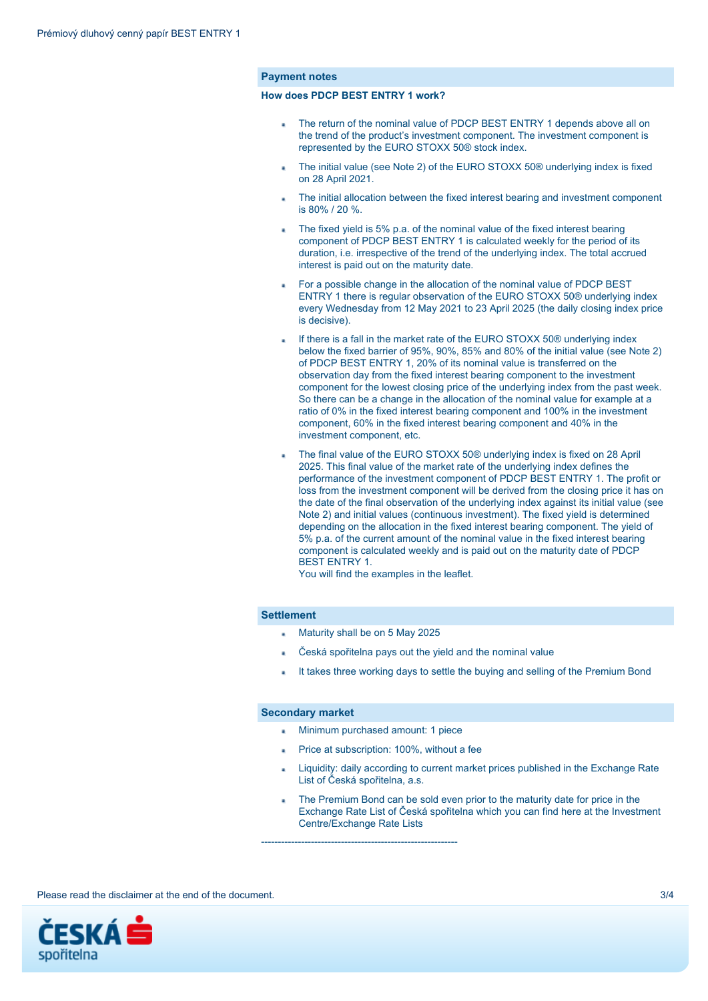### **Payment notes**

### **How does PDCP BEST ENTRY 1 work?**

- The return of the nominal value of PDCP BEST ENTRY 1 depends above all on the trend of the product's investment component. The investment component is represented by the EURO STOXX 50® stock index.
- The initial value (see Note 2) of the EURO STOXX 50® underlying index is fixed on 28 April 2021.
- The initial allocation between the fixed interest bearing and investment component is 80% / 20 %.
- The fixed yield is 5% p.a. of the nominal value of the fixed interest bearing component of PDCP BEST ENTRY 1 is calculated weekly for the period of its duration, i.e. irrespective of the trend of the underlying index. The total accrued interest is paid out on the maturity date.
- For a possible change in the allocation of the nominal value of PDCP BEST ENTRY 1 there is regular observation of the EURO STOXX 50® underlying index every Wednesday from 12 May 2021 to 23 April 2025 (the daily closing index price is decisive).
- If there is a fall in the market rate of the EURO STOXX 50® underlying index below the fixed barrier of 95%, 90%, 85% and 80% of the initial value (see Note 2) of PDCP BEST ENTRY 1, 20% of its nominal value is transferred on the observation day from the fixed interest bearing component to the investment component for the lowest closing price of the underlying index from the past week. So there can be a change in the allocation of the nominal value for example at a ratio of 0% in the fixed interest bearing component and 100% in the investment component, 60% in the fixed interest bearing component and 40% in the investment component, etc.
- The final value of the EURO STOXX 50® underlying index is fixed on 28 April 2025. This final value of the market rate of the underlying index defines the performance of the investment component of PDCP BEST ENTRY 1. The profit or loss from the investment component will be derived from the closing price it has on the date of the final observation of the underlying index against its initial value (see Note 2) and initial values (continuous investment). The fixed yield is determined depending on the allocation in the fixed interest bearing component. The yield of 5% p.a. of the current amount of the nominal value in the fixed interest bearing component is calculated weekly and is paid out on the maturity date of PDCP BEST ENTRY 1.

You will find the examples in the leaflet.

#### **Settlement**

- Maturity shall be on 5 May 2025
- Česká spořitelna pays out the yield and the nominal value
- It takes three working days to settle the buying and selling of the Premium Bond

#### **Secondary market**

- Minimum purchased amount: 1 piece
- Price at subscription: 100%, without a fee
- Liquidity: daily according to current market prices published in the Exchange Rate List of Česká spořitelna, a.s.
- The Premium Bond can be sold even prior to the maturity date for price in the Exchange Rate List of Česká spořitelna which you can find here at the Investment Centre/Exchange Rate Lists

-----------------------------------------------------------

Please read the disclaimer at the end of the document. **3/4** and  $\frac{3}{4}$